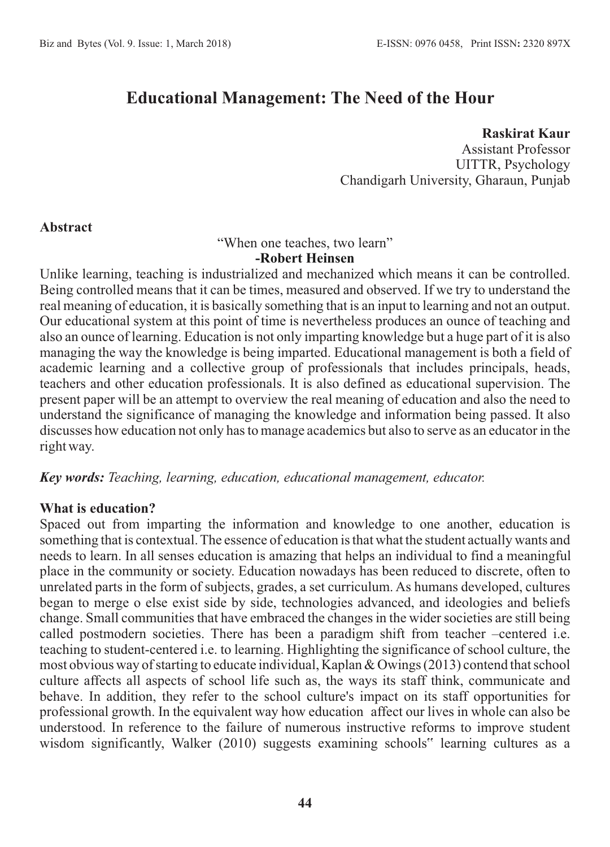# **Educational Management: The Need of the Hour**

#### **Raskirat Kaur**

Assistant Professor UITTR, Psychology Chandigarh University, Gharaun, Punjab

#### **Abstract**

"When one teaches, two learn"

#### **-Robert Heinsen**

Unlike learning, teaching is industrialized and mechanized which means it can be controlled. Being controlled means that it can be times, measured and observed. If we try to understand the real meaning of education, it is basically something that is an input to learning and not an output. Our educational system at this point of time is nevertheless produces an ounce of teaching and also an ounce of learning. Education is not only imparting knowledge but a huge part of it is also managing the way the knowledge is being imparted. Educational management is both a field of academic learning and a collective group of professionals that includes principals, heads, teachers and other education professionals. It is also defined as educational supervision. The present paper will be an attempt to overview the real meaning of education and also the need to understand the significance of managing the knowledge and information being passed. It also discusses how education not only has to manage academics but also to serve as an educator in the right way.

#### *Key words: Teaching, learning, education, educational management, educator.*

#### **What is education?**

Spaced out from imparting the information and knowledge to one another, education is something that is contextual. The essence of education is that what the student actually wants and needs to learn. In all senses education is amazing that helps an individual to find a meaningful place in the community or society. Education nowadays has been reduced to discrete, often to unrelated parts in the form of subjects, grades, a set curriculum. As humans developed, cultures began to merge o else exist side by side, technologies advanced, and ideologies and beliefs change. Small communities that have embraced the changes in the wider societies are still being called postmodern societies. There has been a paradigm shift from teacher –centered i.e. teaching to student-centered i.e. to learning. Highlighting the significance of school culture, the most obvious way of starting to educate individual, Kaplan & Owings (2013) contend that school culture affects all aspects of school life such as, the ways its staff think, communicate and behave. In addition, they refer to the school culture's impact on its staff opportunities for professional growth. In the equivalent way how education affect our lives in whole can also be understood. In reference to the failure of numerous instructive reforms to improve student wisdom significantly, Walker (2010) suggests examining schools" learning cultures as a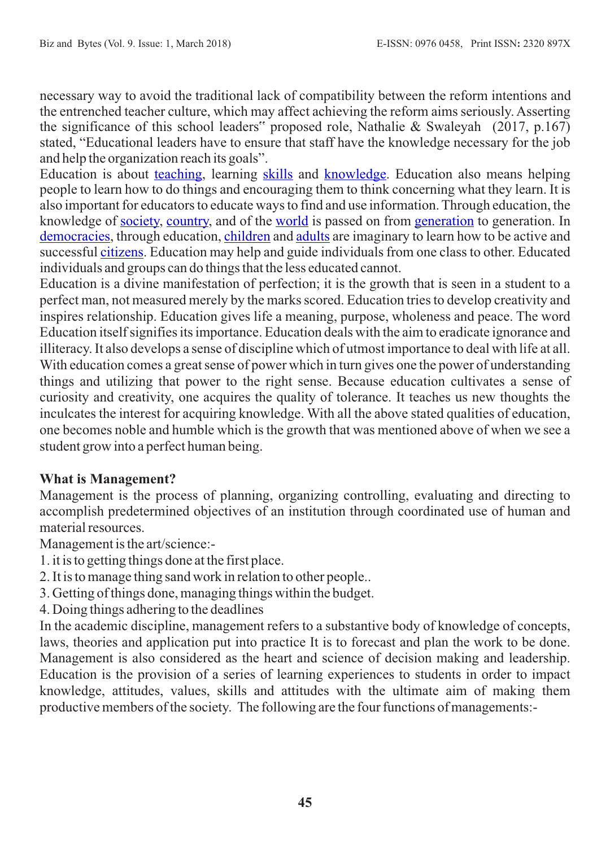necessary way to avoid the traditional lack of compatibility between the reform intentions and the entrenched teacher culture, which may affect achieving the reform aims seriously. Asserting the significance of this school leaders" proposed role, Nathalie & Swaleyah (2017, p.167) stated, "Educational leaders have to ensure that staff have the knowledge necessary for the job and help the organization reach its goals".

Education is about [teaching](https://simple.wikipedia.org/wiki/Teaching), learning [skills](https://simple.wikipedia.org/wiki/Skill) and [knowledge](https://simple.wikipedia.org/wiki/Knowledge). Education also means helping people to learn how to do things and encouraging them to think concerning what they learn. It is also important for educators to educate ways to find and use information. Through education, the knowledge of [society,](https://simple.wikipedia.org/wiki/Society) [country,](https://simple.wikipedia.org/wiki/Country) and of the [world](https://simple.wikipedia.org/wiki/World) is passed on from [generation](https://simple.wikipedia.org/wiki/Generation) to generation. In [democracies](https://simple.wikipedia.org/wiki/Democracy), through education, [children](https://simple.wikipedia.org/wiki/Children) and [adults](https://simple.wikipedia.org/wiki/Adult) are imaginary to learn how to be active and successful [citizens.](https://simple.wikipedia.org/wiki/Citizen) Education may help and guide individuals from one class to other. Educated individuals and groups can do things that the less educated cannot.

Education is a divine manifestation of perfection; it is the growth that is seen in a student to a perfect man, not measured merely by the marks scored. Education tries to develop creativity and inspires relationship. Education gives life a meaning, purpose, wholeness and peace. The word Education itself signifies its importance. Education deals with the aim to eradicate ignorance and illiteracy. It also develops a sense of discipline which of utmost importance to deal with life at all. With education comes a great sense of power which in turn gives one the power of understanding things and utilizing that power to the right sense. Because education cultivates a sense of curiosity and creativity, one acquires the quality of tolerance. It teaches us new thoughts the inculcates the interest for acquiring knowledge. With all the above stated qualities of education, one becomes noble and humble which is the growth that was mentioned above of when we see a student grow into a perfect human being.

# **What is Management?**

Management is the process of planning, organizing controlling, evaluating and directing to accomplish predetermined objectives of an institution through coordinated use of human and material resources.

Management is the art/science:-

- 1. it is to getting things done at the first place.
- 2. It is to manage thing sand work in relation to other people..
- 3. Getting of things done, managing things within the budget.
- 4. Doing things adhering to the deadlines

In the academic discipline, management refers to a substantive body of knowledge of concepts, laws, theories and application put into practice It is to forecast and plan the work to be done. Management is also considered as the heart and science of decision making and leadership. Education is the provision of a series of learning experiences to students in order to impact knowledge, attitudes, values, skills and attitudes with the ultimate aim of making them productive members of the society. The following are the four functions of managements:-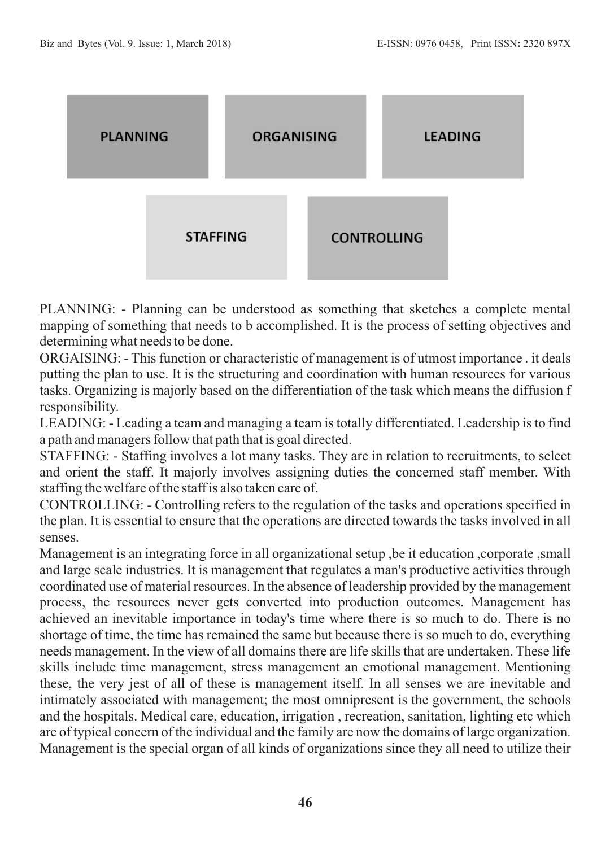

PLANNING: - Planning can be understood as something that sketches a complete mental mapping of something that needs to b accomplished. It is the process of setting objectives and determining what needs to be done.

ORGAISING: - This function or characteristic of management is of utmost importance . it deals putting the plan to use. It is the structuring and coordination with human resources for various tasks. Organizing is majorly based on the differentiation of the task which means the diffusion f responsibility.

LEADING: - Leading a team and managing a team is totally differentiated. Leadership is to find a path and managers follow that path that is goal directed.

STAFFING: - Staffing involves a lot many tasks. They are in relation to recruitments, to select and orient the staff. It majorly involves assigning duties the concerned staff member. With staffing the welfare of the staff is also taken care of.

CONTROLLING: - Controlling refers to the regulation of the tasks and operations specified in the plan. It is essential to ensure that the operations are directed towards the tasks involved in all senses.

Management is an integrating force in all organizational setup ,be it education ,corporate ,small and large scale industries. It is management that regulates a man's productive activities through coordinated use of material resources. In the absence of leadership provided by the management process, the resources never gets converted into production outcomes. Management has achieved an inevitable importance in today's time where there is so much to do. There is no shortage of time, the time has remained the same but because there is so much to do, everything needs management. In the view of all domains there are life skills that are undertaken. These life skills include time management, stress management an emotional management. Mentioning these, the very jest of all of these is management itself. In all senses we are inevitable and intimately associated with management; the most omnipresent is the government, the schools and the hospitals. Medical care, education, irrigation , recreation, sanitation, lighting etc which are of typical concern of the individual and the family are now the domains of large organization. Management is the special organ of all kinds of organizations since they all need to utilize their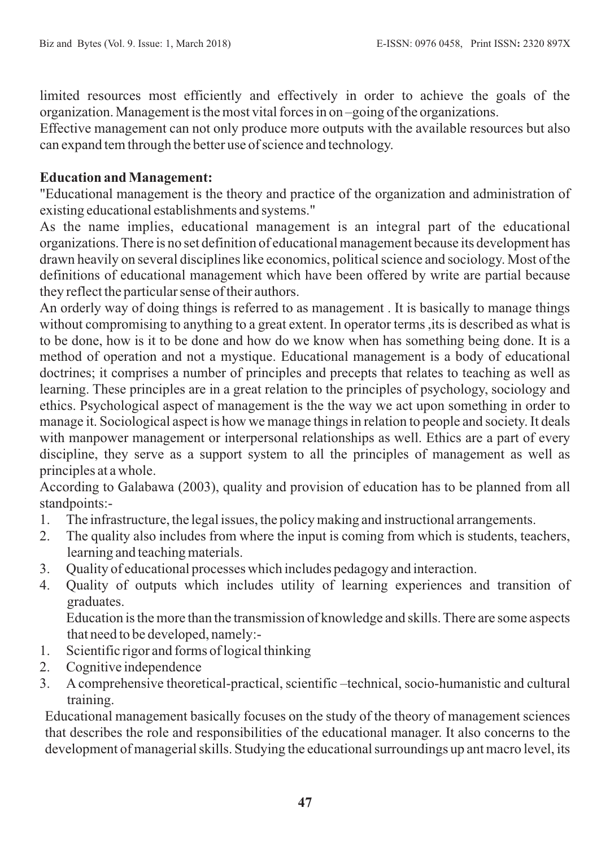limited resources most efficiently and effectively in order to achieve the goals of the organization. Management is the most vital forces in on –going of the organizations.

Effective management can not only produce more outputs with the available resources but also can expand tem through the better use of science and technology.

### **Education and Management:**

"Educational management is the theory and practice of the organization and administration of existing educational establishments and systems."

As the name implies, educational management is an integral part of the educational organizations. There is no set definition of educational management because its development has drawn heavily on several disciplines like economics, political science and sociology. Most of the definitions of educational management which have been offered by write are partial because they reflect the particular sense of their authors.

An orderly way of doing things is referred to as management . It is basically to manage things without compromising to anything to a great extent. In operator terms ,its is described as what is to be done, how is it to be done and how do we know when has something being done. It is a method of operation and not a mystique. Educational management is a body of educational doctrines; it comprises a number of principles and precepts that relates to teaching as well as learning. These principles are in a great relation to the principles of psychology, sociology and ethics. Psychological aspect of management is the the way we act upon something in order to manage it. Sociological aspect is how we manage things in relation to people and society. It deals with manpower management or interpersonal relationships as well. Ethics are a part of every discipline, they serve as a support system to all the principles of management as well as principles at a whole.

According to Galabawa (2003), quality and provision of education has to be planned from all standpoints:-

- 1. The infrastructure, the legal issues, the policy making and instructional arrangements.
- 2. The quality also includes from where the input is coming from which is students, teachers, learning and teaching materials.
- 3. Quality of educational processes which includes pedagogy and interaction.
- 4. Quality of outputs which includes utility of learning experiences and transition of graduates.

Education is the more than the transmission of knowledge and skills. There are some aspects that need to be developed, namely:-

- 1. Scientific rigor and forms of logical thinking
- 2. Cognitive independence
- 3. Acomprehensive theoretical-practical, scientific –technical, socio-humanistic and cultural training.

Educational management basically focuses on the study of the theory of management sciences that describes the role and responsibilities of the educational manager. It also concerns to the development of managerial skills. Studying the educational surroundings up ant macro level, its